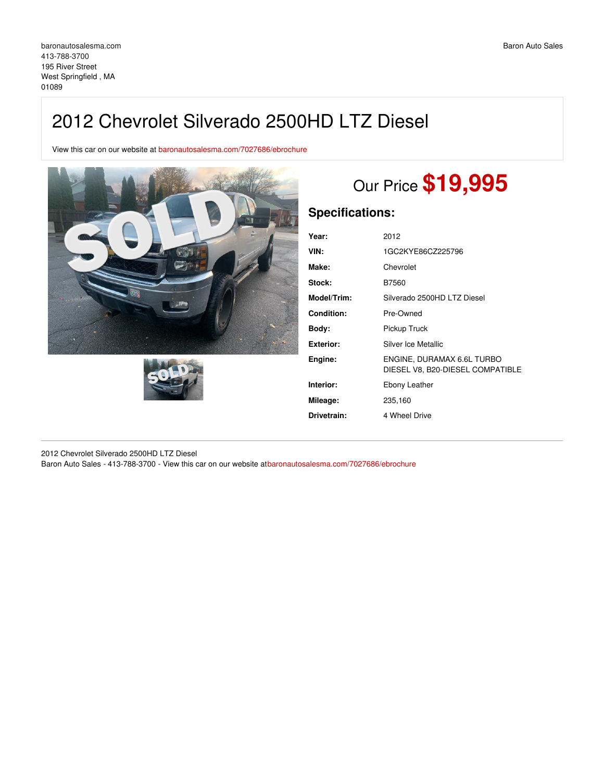## 2012 Chevrolet Silverado 2500HD LTZ Diesel

View this car on our website at [baronautosalesma.com/7027686/ebrochure](https://baronautosalesma.com/vehicle/7027686/2012-chevrolet-silverado-2500hd-ltz-diesel-west-springfield-ma-01089/7027686/ebrochure)





# Our Price **\$19,995**

## **Specifications:**

| Year:       | 2012                                                           |
|-------------|----------------------------------------------------------------|
| VIN:        | 1GC2KYE86CZ225796                                              |
| Make:       | Chevrolet                                                      |
| Stock:      | B7560                                                          |
| Model/Trim: | Silverado 2500HD LTZ Diesel                                    |
| Condition:  | Pre-Owned                                                      |
| Bodv:       | Pickup Truck                                                   |
| Exterior:   | Silver Ice Metallic                                            |
| Engine:     | ENGINE, DURAMAX 6.6L TURBO<br>DIESEL V8, B20-DIESEL COMPATIBLE |
| Interior:   | Ebony Leather                                                  |
| Mileage:    | 235,160                                                        |
| Drivetrain: | 4 Wheel Drive                                                  |
|             |                                                                |

2012 Chevrolet Silverado 2500HD LTZ Diesel Baron Auto Sales - 413-788-3700 - View this car on our website at[baronautosalesma.com/7027686/ebrochure](https://baronautosalesma.com/vehicle/7027686/2012-chevrolet-silverado-2500hd-ltz-diesel-west-springfield-ma-01089/7027686/ebrochure)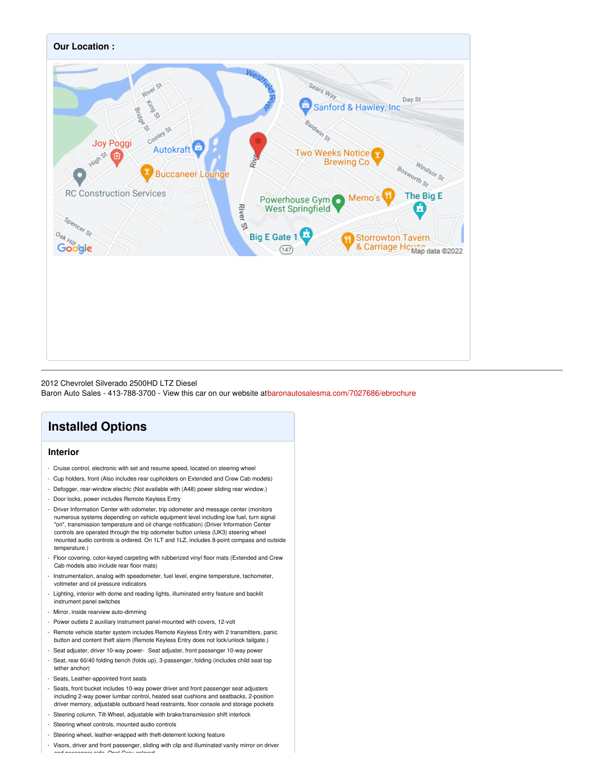

#### 2012 Chevrolet Silverado 2500HD LTZ Diesel

Baron Auto Sales - 413-788-3700 - View this car on our website at[baronautosalesma.com/7027686/ebrochure](https://baronautosalesma.com/vehicle/7027686/2012-chevrolet-silverado-2500hd-ltz-diesel-west-springfield-ma-01089/7027686/ebrochure)

## **Installed Options**

#### **Interior**

- Cruise control, electronic with set and resume speed, located on steering wheel
- Cup holders, front (Also includes rear cupholders on Extended and Crew Cab models)
- Defogger, rear-window electric (Not available with (A48) power sliding rear window.)
- Door locks, power includes Remote Keyless Entry
- Driver Information Center with odometer, trip odometer and message center (monitors numerous systems depending on vehicle equipment level including low fuel, turn signal "on", transmission temperature and oil change notification) (Driver Information Center controls are operated through the trip odometer button unless (UK3) steering wheel mounted audio controls is ordered. On 1LT and 1LZ, includes 8-point compass and outside temperature.)
- Floor covering, color-keyed carpeting with rubberized vinyl floor mats (Extended and Crew Cab models also include rear floor mats)
- Instrumentation, analog with speedometer, fuel level, engine temperature, tachometer, voltmeter and oil pressure indicators
- Lighting, interior with dome and reading lights, illuminated entry feature and backlit instrument panel switches
- Mirror, inside rearview auto-dimming
- Power outlets 2 auxiliary instrument panel-mounted with covers, 12-volt
- Remote vehicle starter system includes Remote Keyless Entry with 2 transmitters, panic button and content theft alarm (Remote Keyless Entry does not lock/unlock tailgate.)
- Seat adjuster, driver 10-way power- Seat adjuster, front passenger 10-way powe
- Seat, rear 60/40 folding bench (folds up), 3-passenger, folding (includes child seat top tether anchor)
- Seats, Leather-appointed front seats
- Seats, front bucket includes 10-way power driver and front passenger seat adjusters including 2-way power lumbar control, heated seat cushions and seatbacks, 2-position driver memory, adjustable outboard head restraints, floor console and storage pockets
- Steering column, Tilt-Wheel, adjustable with brake/transmission shift interlock
- Steering wheel controls, mounted audio controls
- Steering wheel, leather-wrapped with theft-deterrent locking feature
- Visors, driver and front passenger, sliding with clip and illuminated vanity mirror on driver and passenger-side, Opal Gray-colored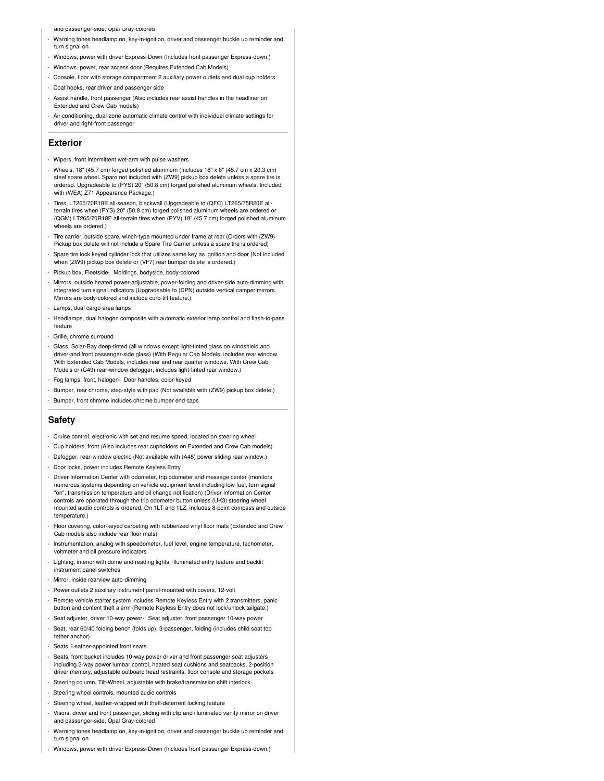and passenger-side, Upai Gray-colored

- Warning tones headlamp on, key-in-ignition, driver and passenger buckle up reminder and turn signal on
- Windows, power with driver Express-Down (Includes front passenger Express-down.)
- Windows, power, rear access door (Requires Extended Cab Models)
- Console, floor with storage compartment 2 auxiliary power outlets and dual cup holders
- Coat hooks, rear driver and passenger side
- Assist handle, front passenger (Also includes rear assist handles in the headliner on Extended and Crew Cab models)
- Air conditioning, dual-zone automatic climate control with individual climate settings for driver and right-front passenger

#### **Exterior**

- Wipers, front intermittent wet-arm with pulse washers
- Wheels, 18" (45.7 cm) forged polished aluminum (Includes 18" x 8" (45.7 cm x 20.3 cm) steel spare wheel. Spare not included with (ZW9) pickup box delete unless a spare tire is ordered. Upgradeable to (PYS) 20" (50.8 cm) forged polished aluminum wheels. Included with (WEA) Z71 Appearance Package.)
- Tires, LT265/70R18E all-season, blackwall (Upgradeable to (QFC) LT265/75R20E allterrain tires when (PYS) 20" (50.8 cm) forged polished aluminum wheels are ordered or (QGM) LT265/70R18E all-terrain tires when (PYV) 18" (45.7 cm) forged polished aluminum wheels are ordered.)
- Tire carrier, outside spare, winch-type mounted under frame at rear (Orders with (ZW9) Pickup box delete will not include a Spare Tire Carrier unless a spare tire is ordered)
- Spare tire lock keyed cylinder lock that utilizes same key as ignition and door (Not included when (ZW9) pickup box delete or (VF7) rear bumper delete is ordered.)
- Pickup box, Fleetside- Moldings, bodyside, body-colored
- Mirrors, outside heated power-adjustable, power-folding and driver-side auto-dimming with integrated turn signal indicators (Upgradeable to (DPN) outside vertical camper mirrors. Mirrors are body-colored and include curb-tilt feature.)
- Lamps, dual cargo area lamps
- Headlamps, dual halogen composite with automatic exterior lamp control and flash-to-pass feature
- Grille, chrome surround
- Glass, Solar-Ray deep-tinted (all windows except light-tinted glass on windshield and driver-and front passenger-side glass) (With Regular Cab Models, includes rear window. With Extended Cab Models, includes rear and rear quarter windows. With Crew Cab Models or (C49) rear-window defogger, includes light-tinted rear window.)
- Fog lamps, front, halogen- Door handles, color-keyed
- Bumper, rear chrome, step-style with pad (Not available with (ZW9) pickup box delete.)
- Bumper, front chrome includes chrome bumper end caps

#### **Safety**

- Cruise control, electronic with set and resume speed, located on steering wheel
- Cup holders, front (Also includes rear cupholders on Extended and Crew Cab models)
- Defogger, rear-window electric (Not available with (A48) power sliding rear window.)
- Door locks, power includes Remote Keyless Entry
- Driver Information Center with odometer, trip odometer and message center (monitors numerous systems depending on vehicle equipment level including low fuel, turn signal "on", transmission temperature and oil change notification) (Driver Information Center controls are operated through the trip odometer button unless (UK3) steering wheel mounted audio controls is ordered. On 1LT and 1LZ, includes 8-point compass and outside temperature.)
- Floor covering, color-keyed carpeting with rubberized vinyl floor mats (Extended and Crew Cab models also include rear floor mats)
- Instrumentation, analog with speedometer, fuel level, engine temperature, tachometer, voltmeter and oil pressure indicators
- Lighting, interior with dome and reading lights, illuminated entry feature and backlit instrument panel switches
- Mirror, inside rearview auto-dimming
- Power outlets 2 auxiliary instrument panel-mounted with covers, 12-volt
- Remote vehicle starter system includes Remote Keyless Entry with 2 transmitters, panic button and content theft alarm (Remote Keyless Entry does not lock/unlock tailgate.)
- Seat adjuster, driver 10-way power- Seat adjuster, front passenger 10-way power
- Seat, rear 60/40 folding bench (folds up), 3-passenger, folding (includes child seat top tether anchor)
- Seats, Leather-appointed front seats
- Seats, front bucket includes 10-way power driver and front passenger seat adjusters including 2-way power lumbar control, heated seat cushions and seatbacks, 2-position driver memory, adjustable outboard head restraints, floor console and storage pockets
- Steering column, Tilt-Wheel, adjustable with brake/transmission shift interlock
- Steering wheel controls, mounted audio controls
- Steering wheel, leather-wrapped with theft-deterrent locking feature
- Visors, driver and front passenger, sliding with clip and illuminated vanity mirror on driver and passenger-side, Opal Gray-colored
- Warning tones headlamp on, key-in-ignition, driver and passenger buckle up reminder and turn signal on
- Windows, power with driver Express-Down (Includes front passenger Express-down.)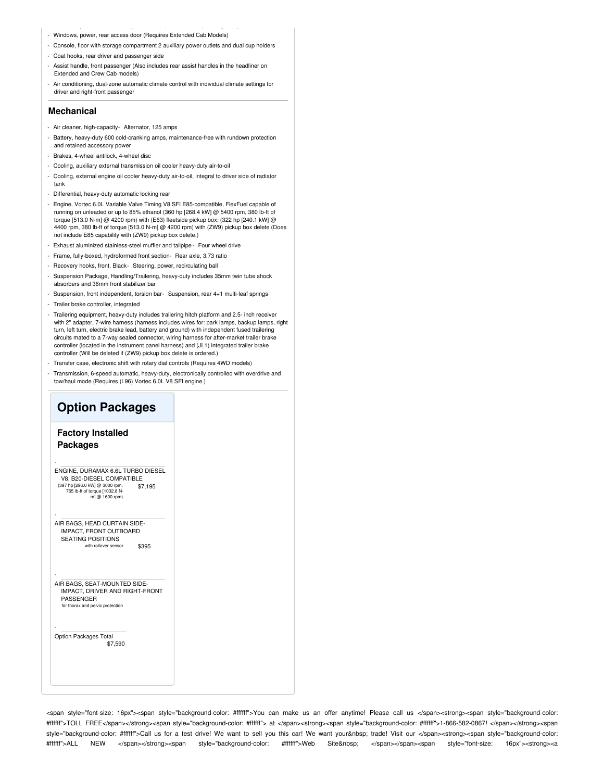- Windows, power, rear access door (Requires Extended Cab Models)
- Console, floor with storage compartment 2 auxiliary power outlets and dual cup holders - Coat hooks, rear driver and passenger side
- 
- Assist handle, front passenger (Also includes rear assist handles in the headliner on Extended and Crew Cab models)
- Air conditioning, dual-zone automatic climate control with individual climate settings for driver and right-front passenger

#### **Mechanical**

- Air cleaner, high-capacity- Alternator, 125 amps
- Battery, heavy-duty 600 cold-cranking amps, maintenance-free with rundown protection and retained accessory power
- Brakes, 4-wheel antilock, 4-wheel disc
- Cooling, auxiliary external transmission oil cooler heavy-duty air-to-oil
- Cooling, external engine oil cooler heavy-duty air-to-oil, integral to driver side of radiator tank
- Differential, heavy-duty automatic locking rear
- Engine, Vortec 6.0L Variable Valve Timing V8 SFI E85-compatible, FlexFuel capable of running on unleaded or up to 85% ethanol (360 hp [268.4 kW] @ 5400 rpm, 380 lb-ft of torque [513.0 N-m] @ 4200 rpm) with (E63) fleetside pickup box; (322 hp [240.1 kW] @ 4400 rpm, 380 lb-ft of torque [513.0 N-m] @ 4200 rpm) with (ZW9) pickup box delete (Does not include E85 capability with (ZW9) pickup box delete.)
- Exhaust aluminized stainless-steel muffler and tailpipe Four wheel drive
- Frame, fully-boxed, hydroformed front section- Rear axle, 3.73 ratio
- Recovery hooks, front, Black- Steering, power, recirculating ball
- Suspension Package, Handling/Trailering, heavy-duty includes 35mm twin tube shock absorbers and 36mm front stabilizer bar
- Suspension, front independent, torsion bar- Suspension, rear 4+1 multi-leaf springs
- Trailer brake controller, integrated
- Trailering equipment, heavy-duty includes trailering hitch platform and 2.5- inch receiver with 2" adapter, 7-wire harness (harness includes wires for: park lamps, backup lamps, right turn, left turn, electric brake lead, battery and ground) with independent fused trailering circuits mated to a 7-way sealed connector, wiring harness for after-market trailer brake controller (located in the instrument panel harness) and (JL1) integrated trailer brake controller (Will be deleted if (ZW9) pickup box delete is ordered.)
- Transfer case, electronic shift with rotary dial controls (Requires 4WD models)
- Transmission, 6-speed automatic, heavy-duty, electronically controlled with overdrive and tow/haul mode (Requires (L96) Vortec 6.0L V8 SFI engine.)

### **Option Packages**

#### **Factory Installed Packages**

-

-

-

-

\$7,195 ENGINE, DURAMAX 6.6L TURBO DIESEL V8, B20-DIESEL COMPATIBLE (397 hp [296.0 kW] @ 3000 rpm, 765 lb-ft of torque [1032.8 N-m] @ 1600 rpm)

\$395 AIR BAGS, HEAD CURTAIN SIDE-IMPACT, FRONT OUTBOARD SEATING POSITIONS with rollover sensor

AIR BAGS, SEAT-MOUNTED SIDE-IMPACT, DRIVER AND RIGHT-FRONT PASSENGER for thorax and pelvic prote

\$7,590 Option Packages Total

<span style="font-size: 16px"><span style="background-color: #ffffff">You can make us an offer anytime! Please call us </span><strong><span style="background-color: #ffffff">TOLL FREE</span></strong><span style="background-color: #ffffff"> at </span><strong><span style="background-color: #ffffff">1-866-582-0867! </span></strong><span style="background-color: #ffffff">Call us for a test drive! We want to sell you this car! We want your trade! Visit our </span><strong><span style="background-color: #ffffff">ALL NEW </span></strong><span style="background-color: #ffffff">Web Site&nbsp; </span></span><span style="font-size: 16px"><strong><a